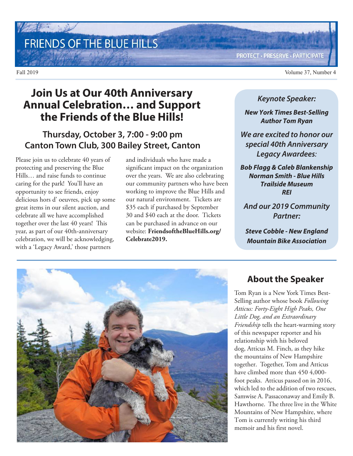# FRIENDS OF THE BLUE HILLS

**PROTECT · PRESERVE · PARTICIPATE** 

Fall 2019 Volume 37, Number 4

## **Join Us at Our 40th Anniversary Annual Celebration… and Support the Friends of the Blue Hills!**

### **Thursday, October 3, 7:00 - 9:00 pm Canton Town Club, 300 Bailey Street, Canton**

Please join us to celebrate 40 years of protecting and preserving the Blue Hills… and raise funds to continue caring for the park! You'll have an opportunity to see friends, enjoy delicious hors d' oeuvres, pick up some great items in our silent auction, and celebrate all we have accomplished together over the last 40 years! This year, as part of our 40th-anniversary celebration, we will be acknowledging, with a 'Legacy Award,' those partners

and individuals who have made a significant impact on the organization over the years. We are also celebrating our community partners who have been working to improve the Blue Hills and our natural environment. Tickets are \$35 each if purchased by September 30 and \$40 each at the door. Tickets can be purchased in advance on our website: **FriendsoftheBlueHills.org/ Celebrate2019.**

#### **Keynote Speaker:**

**New York Times Best-Selling Author Tom Ryan**

**We are excited to honor our special 40th Anniversary Legacy Awardees**:

**Bob Flagg & Caleb Blankenship Norman Smith - Blue Hills Trailside Museum REI**

**And our 2019 Community Partner:**

**Steve Cobble - New England Mountain Bike Association**



### **About the Speaker**

Tom Ryan is a New York Times Best-Selling author whose book *Following Atticus: Forty-Eight High Peaks, One Little Dog, and an Extraordinary Friendship* tells the heart-warming story of this newspaper reporter and his relationship with his beloved dog, Atticus M. Finch, as they hike the mountains of New Hampshire together. Together, Tom and Atticus have climbed more than 450 4,000foot peaks. Atticus passed on in 2016, which led to the addition of two rescues, Samwise A. Passaconaway and Emily B. Hawthorne. The three live in the White Mountains of New Hampshire, where Tom is currently writing his third memoir and his first novel.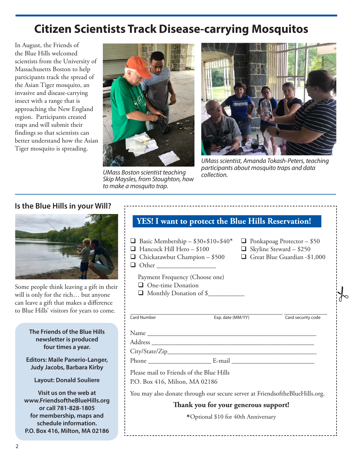## **Citizen Scientists Track Disease-carrying Mosquitos**

In August, the Friends of the Blue Hills welcomed scientists from the University of Massachusetts Boston to help participants track the spread of the Asian Tiger mosquito, an invasive and disease-carrying insect with a range that is approaching the New England region. Participants created traps and will submit their findings so that scientists can better understand how the Asian Tiger mosquito is spreading.



UMass Boston scientist teaching *participal* Skip Maysles, from Stoughton, how to make a mosquito trap.



UMass scientist, Amanda Tokash-Peters, teaching participants about mosquito traps and data

#### **Is the Blue Hills in your Will?**



Some people think leaving a gift in their will is only for the rich… but anyone can leave a gift that makes a difference to Blue Hills' visitors for years to come.

> **The Friends of the Blue Hills newsletter is produced four times a year.**

**Editors: Maile Panerio-Langer, Judy Jacobs, Barbara Kirby**

**Layout: Donald Souliere**

**Visit us on the web at www.FriendsoftheBlueHills.org or call 781-828-1805 for membership, maps and schedule information. P.O. Box 416, Milton, MA 02186**

#### **YES! I want to protect the Blue Hills Reservation!**

- Basic Membership \$30+\$10=\$40\* Ponkapoag Protector \$50<br>■ Hancock Hill Hero \$100 Skyline Steward \$250 Hancock Hill Hero – \$100 Skyline Steward – \$250
- $\Box$  Chickatawbut Champion \$500
- 
- 
- 
- Other \_\_\_\_\_\_\_\_\_\_\_\_\_\_\_\_\_\_
	- Payment Frequency (Choose one)
	- **Q** One-time Donation
	- $\Box$  Monthly Donation of \$



\_\_\_\_\_\_\_\_\_\_\_\_\_\_\_\_\_\_\_\_\_\_\_\_\_\_\_\_\_\_\_\_\_\_\_\_\_\_\_\_\_\_\_\_\_\_ \_\_\_\_\_\_\_\_\_\_\_\_\_ Card Number **Exp. date (MM/YY)** Card security code

 $\frac{1}{6}$ 

Name

Address \_\_\_\_\_\_\_\_\_\_\_\_\_\_\_\_\_\_\_\_\_\_\_\_\_\_\_\_\_\_\_\_\_\_\_\_\_\_\_\_\_\_\_\_\_\_\_\_\_

City/State/Zip\_\_\_\_\_\_\_\_\_\_\_\_\_\_\_\_\_\_\_\_\_\_\_\_\_\_\_\_\_\_\_\_\_\_\_\_\_\_\_\_\_\_\_\_\_

Phone \_\_\_\_\_\_\_\_\_\_\_\_\_\_\_\_\_\_\_ E-mail \_\_\_\_\_\_\_\_\_\_\_\_\_\_\_\_\_\_\_\_\_\_\_\_\_

Please mail to Friends of the Blue Hills

P.O. Box 416, Milton, MA 02186

You may also donate through our secure server at FriendsoftheBlueHills.org.

#### **Thank you for your generous support!**

**\***Optional \$10 for 40th Anniversary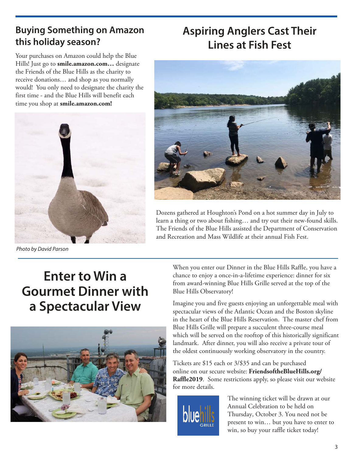## **Buying Something on Amazon this holiday season?**

Your purchases on Amazon could help the Blue Hills! Just go to **smile.amazon.com…** designate the Friends of the Blue Hills as the charity to receive donations… and shop as you normally would! You only need to designate the charity the first time - and the Blue Hills will benefit each time you shop at **smile.amazon.com!**



Photo by David Parson

## **Aspiring Anglers Cast Their Lines at Fish Fest**



Dozens gathered at Houghton's Pond on a hot summer day in July to learn a thing or two about fishing… and try out their new-found skills. The Friends of the Blue Hills assisted the Department of Conservation and Recreation and Mass Wildlife at their annual Fish Fest.

# **Enter to Win a Gourmet Dinner with a Spectacular View**



When you enter our Dinner in the Blue Hills Raffle, you have a chance to enjoy a once-in-a-lifetime experience: dinner for six from award-winning Blue Hills Grille served at the top of the Blue Hills Observatory!

Imagine you and five guests enjoying an unforgettable meal with spectacular views of the Atlantic Ocean and the Boston skyline in the heart of the Blue Hills Reservation. The master chef from Blue Hills Grille will prepare a succulent three-course meal which will be served on the rooftop of this historically significant landmark. After dinner, you will also receive a private tour of the oldest continuously working observatory in the country.

Tickets are \$15 each or 3/\$35 and can be purchased online on our secure website: **FriendsoftheBlueHills.org/ Raffle2019**. Some restrictions apply, so please visit our website for more details.



The winning ticket will be drawn at our Annual Celebration to be held on Thursday, October 3. You need not be present to win… but you have to enter to win, so buy your raffle ticket today!